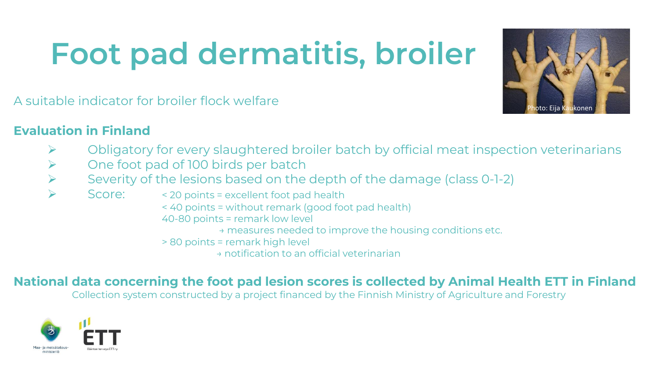# **Foot pad dermatitis, broiler**



A suitable indicator for broiler flock welfare

#### **Evaluation in Finland**

- $\triangleright$  Obligatory for every slaughtered broiler batch by official meat inspection veterinarians
- ➢ One foot pad of 100 birds per batch
- Severity of the lesions based on the depth of the damage (class 0-1-2)
- Score: <20 points = excellent foot pad health
	- < 40 points = without remark (good foot pad health)
	- 40-80 points = remark low level
		- → measures needed to improve the housing conditions etc.
	- > 80 points = remark high level
		- → notification to an official veterinarian

#### **National data concerning the foot pad lesion scores is collected by Animal Health ETT in Finland**

Collection system constructed by a project financed by the Finnish Ministry of Agriculture and Forestry

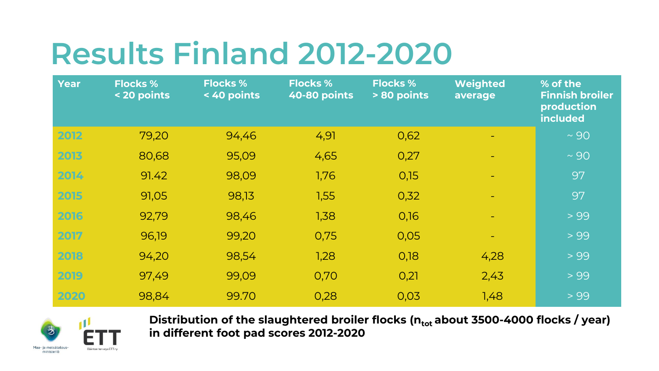## **Results Finland 2012-2020**

| <b>Year</b> | <b>Flocks %</b><br>< 20 points | <b>Flocks %</b><br>< 40 points | <b>Flocks %</b><br>40-80 points | <b>Flocks %</b><br>> 80 points | <b>Weighted</b><br>average | % of the<br><b>Finnish broiler</b><br>production<br>included |
|-------------|--------------------------------|--------------------------------|---------------------------------|--------------------------------|----------------------------|--------------------------------------------------------------|
| 2012        | 79,20                          | 94,46                          | 4,91                            | 0,62                           |                            | $~\sim$ 90                                                   |
| 2013        | 80,68                          | 95,09                          | 4,65                            | 0,27                           |                            | $~\sim$ 90                                                   |
| 2014        | 91.42                          | 98,09                          | 1,76                            | 0,15                           |                            | 97                                                           |
| 2015        | 91,05                          | 98,13                          | 1,55                            | 0,32                           |                            | 97                                                           |
| 2016        | 92,79                          | 98,46                          | 1,38                            | 0,16                           |                            | > 99                                                         |
| 2017        | 96,19                          | 99,20                          | 0,75                            | 0,05                           |                            | > 99                                                         |
| 2018        | 94,20                          | 98,54                          | 1,28                            | 0,18                           | 4,28                       | > 99                                                         |
| 2019        | 97,49                          | 99,09                          | 0,70                            | 0,21                           | 2,43                       | > 99                                                         |
| 2020        | 98,84                          | 99.70                          | 0,28                            | 0,03                           | 1,48                       | > 99                                                         |



Distribution of the slaughtered broiler flocks (n<sub>tot</sub> about 3500-4000 flocks / year) **in different foot pad scores 2012-2020**